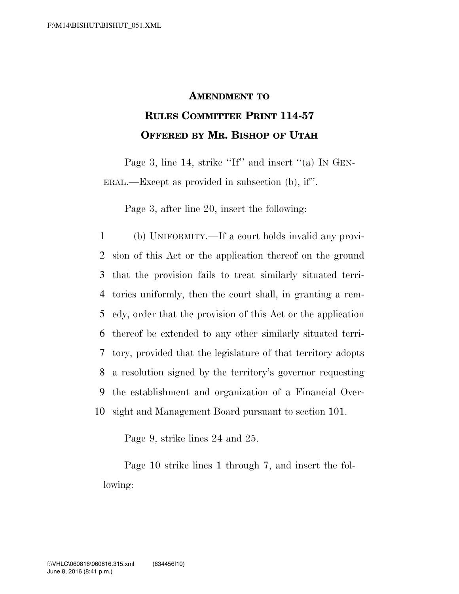## **AMENDMENT TO RULES COMMITTEE PRINT 114-57 OFFERED BY MR. BISHOP OF UTAH**

Page 3, line 14, strike "If" and insert "(a) IN GEN-ERAL.—Except as provided in subsection (b), if''.

Page 3, after line 20, insert the following:

 (b) UNIFORMITY.—If a court holds invalid any provi- sion of this Act or the application thereof on the ground that the provision fails to treat similarly situated terri- tories uniformly, then the court shall, in granting a rem- edy, order that the provision of this Act or the application thereof be extended to any other similarly situated terri- tory, provided that the legislature of that territory adopts a resolution signed by the territory's governor requesting the establishment and organization of a Financial Over-sight and Management Board pursuant to section 101.

Page 9, strike lines 24 and 25.

Page 10 strike lines 1 through 7, and insert the following: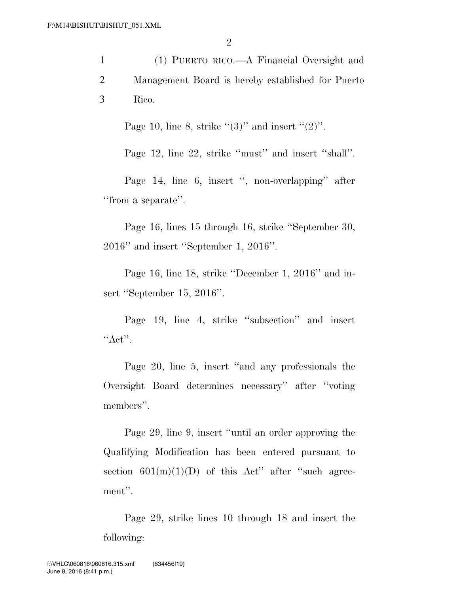|   | (1) PUERTO RICO.—A Financial Oversight and        |
|---|---------------------------------------------------|
| 2 | Management Board is hereby established for Puerto |
| 3 | Rico.                                             |

Page 10, line 8, strike " $(3)$ " and insert " $(2)$ ".

Page 12, line 22, strike "must" and insert "shall".

Page 14, line 6, insert '', non-overlapping'' after "from a separate".

Page 16, lines 15 through 16, strike ''September 30, 2016'' and insert ''September 1, 2016''.

Page 16, line 18, strike ''December 1, 2016'' and insert ''September 15, 2016''.

Page 19, line 4, strike "subsection" and insert  $"Act"$ .

Page 20, line 5, insert ''and any professionals the Oversight Board determines necessary'' after ''voting members''.

Page 29, line 9, insert ''until an order approving the Qualifying Modification has been entered pursuant to section  $601(m)(1)(D)$  of this Act" after "such agreement''.

Page 29, strike lines 10 through 18 and insert the following: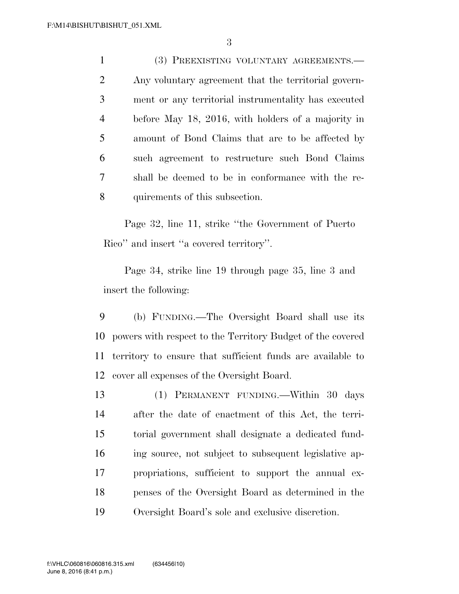(3) PREEXISTING VOLUNTARY AGREEMENTS.— Any voluntary agreement that the territorial govern- ment or any territorial instrumentality has executed before May 18, 2016, with holders of a majority in amount of Bond Claims that are to be affected by such agreement to restructure such Bond Claims shall be deemed to be in conformance with the re-quirements of this subsection.

Page 32, line 11, strike ''the Government of Puerto Rico'' and insert ''a covered territory''.

Page 34, strike line 19 through page 35, line 3 and insert the following:

 (b) FUNDING.—The Oversight Board shall use its powers with respect to the Territory Budget of the covered territory to ensure that sufficient funds are available to cover all expenses of the Oversight Board.

 (1) PERMANENT FUNDING.—Within 30 days after the date of enactment of this Act, the terri- torial government shall designate a dedicated fund- ing source, not subject to subsequent legislative ap- propriations, sufficient to support the annual ex- penses of the Oversight Board as determined in the Oversight Board's sole and exclusive discretion.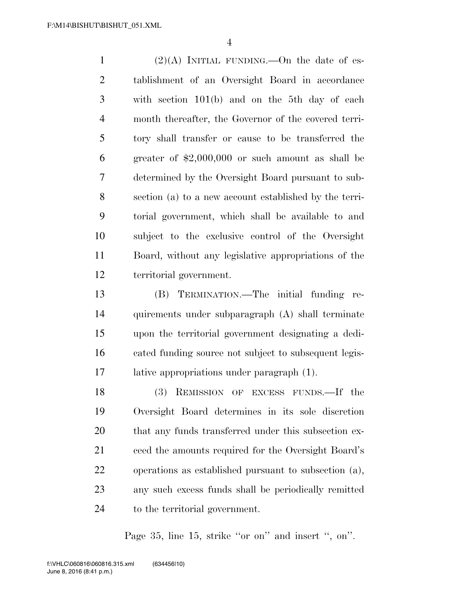1 (2)(A) INITIAL FUNDING.—On the date of es- tablishment of an Oversight Board in accordance with section 101(b) and on the 5th day of each month thereafter, the Governor of the covered terri- tory shall transfer or cause to be transferred the greater of \$2,000,000 or such amount as shall be determined by the Oversight Board pursuant to sub- section (a) to a new account established by the terri- torial government, which shall be available to and subject to the exclusive control of the Oversight Board, without any legislative appropriations of the territorial government.

 (B) TERMINATION.—The initial funding re- quirements under subparagraph (A) shall terminate upon the territorial government designating a dedi- cated funding source not subject to subsequent legis-lative appropriations under paragraph (1).

 (3) REMISSION OF EXCESS FUNDS.—If the Oversight Board determines in its sole discretion 20 that any funds transferred under this subsection ex- ceed the amounts required for the Oversight Board's operations as established pursuant to subsection (a), any such excess funds shall be periodically remitted to the territorial government.

Page 35, line 15, strike "or on" and insert ", on".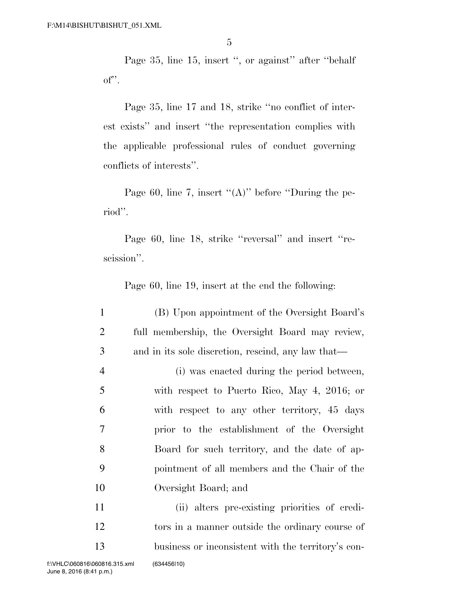Page 35, line 15, insert ", or against" after "behalf" of''.

Page 35, line 17 and 18, strike ''no conflict of interest exists'' and insert ''the representation complies with the applicable professional rules of conduct governing conflicts of interests''.

Page 60, line 7, insert " $(A)$ " before "During the period''.

Page 60, line 18, strike ''reversal'' and insert ''rescission''.

Page 60, line 19, insert at the end the following:

 (B) Upon appointment of the Oversight Board's full membership, the Oversight Board may review, and in its sole discretion, rescind, any law that— (i) was enacted during the period between, with respect to Puerto Rico, May 4, 2016; or with respect to any other territory, 45 days prior to the establishment of the Oversight Board for such territory, and the date of ap- pointment of all members and the Chair of the Oversight Board; and (ii) alters pre-existing priorities of credi- tors in a manner outside the ordinary course of business or inconsistent with the territory's con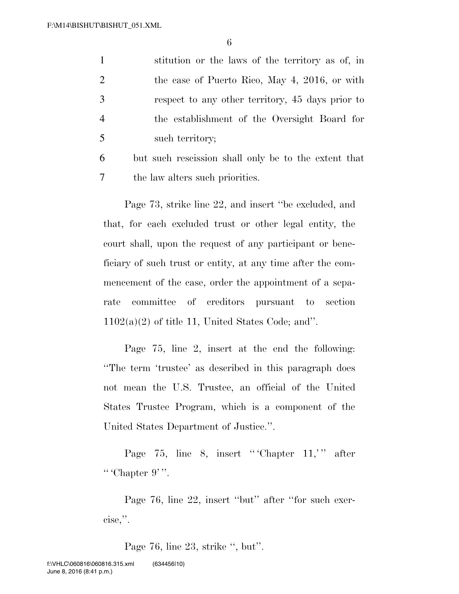6

 stitution or the laws of the territory as of, in the case of Puerto Rico, May 4, 2016, or with respect to any other territory, 45 days prior to the establishment of the Oversight Board for such territory; but such rescission shall only be to the extent that

7 the law alters such priorities.

Page 73, strike line 22, and insert ''be excluded, and that, for each excluded trust or other legal entity, the court shall, upon the request of any participant or beneficiary of such trust or entity, at any time after the commencement of the case, order the appointment of a separate committee of creditors pursuant to section  $1102(a)(2)$  of title 11, United States Code; and".

Page 75, line 2, insert at the end the following: ''The term 'trustee' as described in this paragraph does not mean the U.S. Trustee, an official of the United States Trustee Program, which is a component of the United States Department of Justice.''.

Page 75, line 8, insert "'Chapter  $11$ ," after "' Chapter  $9$ ".

Page 76, line 22, insert "but" after "for such exercise,''.

Page 76, line 23, strike '', but''.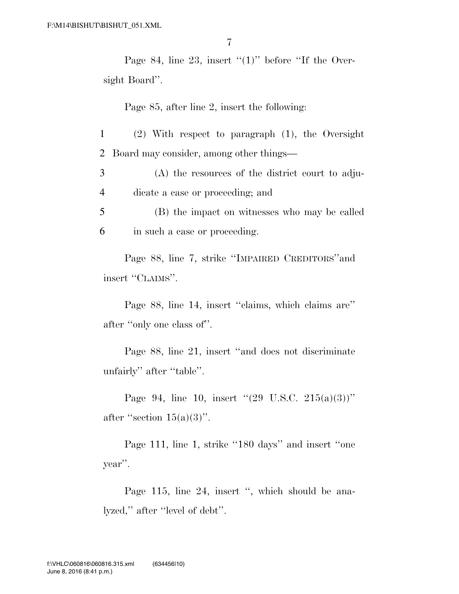Page 84, line 23, insert " $(1)$ " before "If the Oversight Board''.

Page 85, after line 2, insert the following:

1 (2) With respect to paragraph (1), the Oversight 2 Board may consider, among other things—

3 (A) the resources of the district court to adju-4 dicate a case or proceeding; and

5 (B) the impact on witnesses who may be called 6 in such a case or proceeding.

Page 88, line 7, strike ''IMPAIRED CREDITORS''and insert ''CLAIMS''.

Page 88, line 14, insert ''claims, which claims are'' after ''only one class of''.

Page 88, line 21, insert ''and does not discriminate unfairly'' after ''table''.

Page 94, line 10, insert  $(29 \text{ U.S.C. } 215(a)(3))$ " after "section  $15(a)(3)$ ".

Page 111, line 1, strike "180 days" and insert "one year''.

Page 115, line 24, insert ", which should be analyzed,'' after ''level of debt''.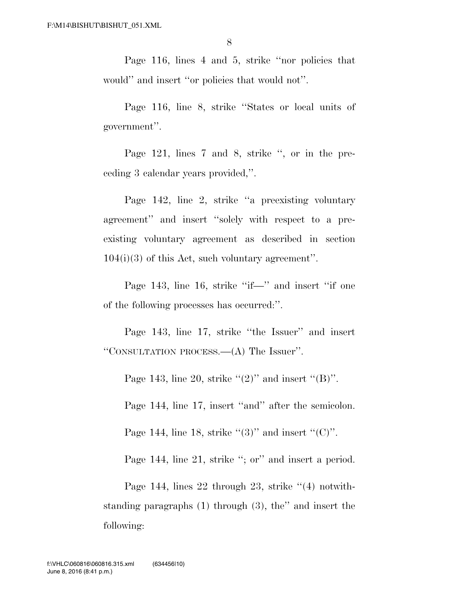Page 116, lines 4 and 5, strike ''nor policies that would'' and insert ''or policies that would not''.

Page 116, line 8, strike ''States or local units of government''.

Page 121, lines 7 and 8, strike '', or in the preceding 3 calendar years provided,''.

Page 142, line 2, strike ''a preexisting voluntary agreement'' and insert ''solely with respect to a preexisting voluntary agreement as described in section  $104(i)(3)$  of this Act, such voluntary agreement".

Page 143, line 16, strike "if—" and insert "if one of the following processes has occurred:''.

Page 143, line 17, strike "the Issuer" and insert ''CONSULTATION PROCESS.—(A) The Issuer''.

Page 143, line 20, strike  $\cdot (2)$ " and insert  $\cdot (B)$ ".

Page 144, line 17, insert ''and'' after the semicolon.

Page 144, line 18, strike  $\cdot\cdot(3)$ " and insert  $\cdot\cdot(0)$ ".

Page 144, line 21, strike "; or" and insert a period.

Page 144, lines 22 through 23, strike  $(4)$  notwithstanding paragraphs (1) through (3), the'' and insert the following: